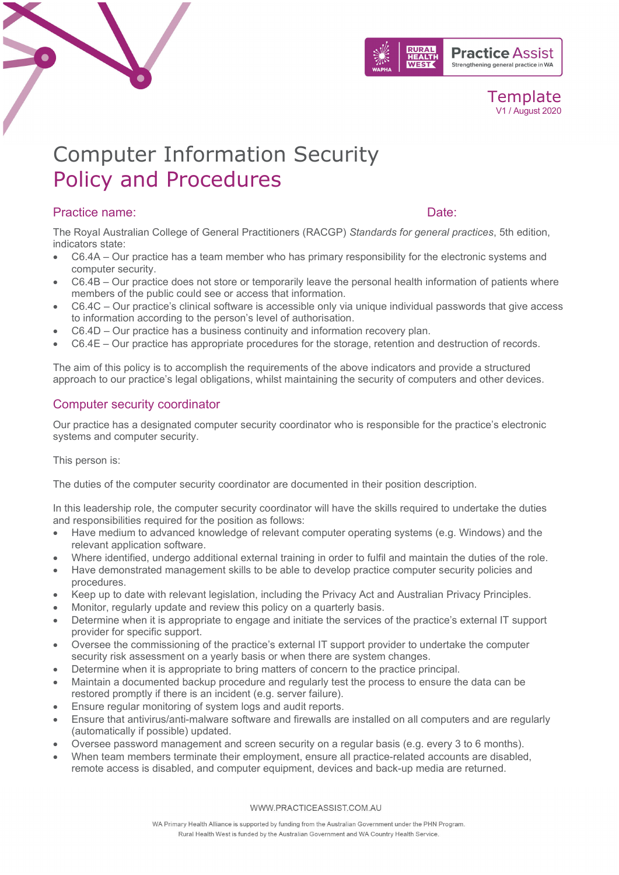



# Computer Information Security Policy and Procedures

# Practice name:  $\Box$  Date:  $\Box$  Date:  $\Box$  Date:  $\Box$

The Royal Australian College of General Practitioners (RACGP) *Standards for general practices*, 5th edition, indicators state:

- C6.4A Our practice has a team member who has primary responsibility for the electronic systems and computer security.
- C6.4B Our practice does not store or temporarily leave the personal health information of patients where members of the public could see or access that information.
- C6.4C Our practice's clinical software is accessible only via unique individual passwords that give access to information according to the person's level of authorisation.
- C6.4D Our practice has a business continuity and information recovery plan.
- C6.4E Our practice has appropriate procedures for the storage, retention and destruction of records.

The aim of this policy is to accomplish the requirements of the above indicators and provide a structured approach to our practice's legal obligations, whilst maintaining the security of computers and other devices.

# Computer security coordinator

Our practice has a designated computer security coordinator who is responsible for the practice's electronic systems and computer security.

This person is:

The duties of the computer security coordinator are documented in their position description.

In this leadership role, the computer security coordinator will have the skills required to undertake the duties and responsibilities required for the position as follows:

- Have medium to advanced knowledge of relevant computer operating systems (e.g. Windows) and the relevant application software.
- Where identified, undergo additional external training in order to fulfil and maintain the duties of the role.
- Have demonstrated management skills to be able to develop practice computer security policies and procedures.
- Keep up to date with relevant legislation, including the Privacy Act and Australian Privacy Principles.
- Monitor, regularly update and review this policy on a quarterly basis.
- Determine when it is appropriate to engage and initiate the services of the practice's external IT support provider for specific support.
- Oversee the commissioning of the practice's external IT support provider to undertake the computer security risk assessment on a yearly basis or when there are system changes.
- Determine when it is appropriate to bring matters of concern to the practice principal.
- Maintain a documented backup procedure and regularly test the process to ensure the data can be restored promptly if there is an incident (e.g. server failure).
- Ensure regular monitoring of system logs and audit reports.
- Ensure that antivirus/anti-malware software and firewalls are installed on all computers and are regularly (automatically if possible) updated.
- Oversee password management and screen security on a regular basis (e.g. every 3 to 6 months).
- When team members terminate their employment, ensure all practice-related accounts are disabled, remote access is disabled, and computer equipment, devices and back-up media are returned.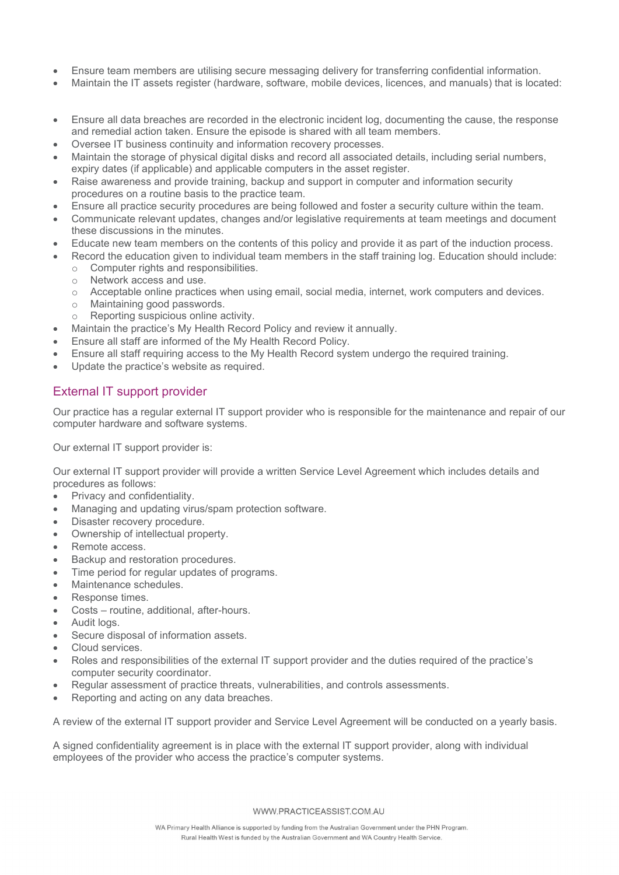- Ensure team members are utilising secure messaging delivery for transferring confidential information.
- Maintain the IT assets register (hardware, software, mobile devices, licences, and manuals) that is located:
- Ensure all data breaches are recorded in the electronic incident log, documenting the cause, the response and remedial action taken. Ensure the episode is shared with all team members.
- Oversee IT business continuity and information recovery processes.
- Maintain the storage of physical digital disks and record all associated details, including serial numbers, expiry dates (if applicable) and applicable computers in the asset register.
- Raise awareness and provide training, backup and support in computer and information security procedures on a routine basis to the practice team.
- Ensure all practice security procedures are being followed and foster a security culture within the team.
- Communicate relevant updates, changes and/or legislative requirements at team meetings and document these discussions in the minutes.
- Educate new team members on the contents of this policy and provide it as part of the induction process.
- Record the education given to individual team members in the staff training log. Education should include:
	- $\circ$  Computer rights and responsibilities.<br>  $\circ$  Network access and use.
	- o Network access and use.<br>
	o Acceptable online practice
	- Acceptable online practices when using email, social media, internet, work computers and devices.
	- o Maintaining good passwords.
	- o Reporting suspicious online activity.
- Maintain the practice's My Health Record Policy and review it annually.
- Ensure all staff are informed of the My Health Record Policy.
- Ensure all staff requiring access to the My Health Record system undergo the required training.
- Update the practice's website as required.

# External IT support provider

Our practice has a regular external IT support provider who is responsible for the maintenance and repair of our computer hardware and software systems.

Our external IT support provider is:

Our external IT support provider will provide a written Service Level Agreement which includes details and procedures as follows:

- Privacy and confidentiality.
- Managing and updating virus/spam protection software.
- Disaster recovery procedure.
- Ownership of intellectual property.
- Remote access.
- Backup and restoration procedures.
- Time period for regular updates of programs.
- Maintenance schedules.
- Response times.
- Costs routine, additional, after-hours.
- Audit logs.
- Secure disposal of information assets.
- Cloud services.
- Roles and responsibilities of the external IT support provider and the duties required of the practice's computer security coordinator.
- Regular assessment of practice threats, vulnerabilities, and controls assessments.
- Reporting and acting on any data breaches.

A review of the external IT support provider and Service Level Agreement will be conducted on a yearly basis.

A signed confidentiality agreement is in place with the external IT support provider, along with individual employees of the provider who access the practice's computer systems.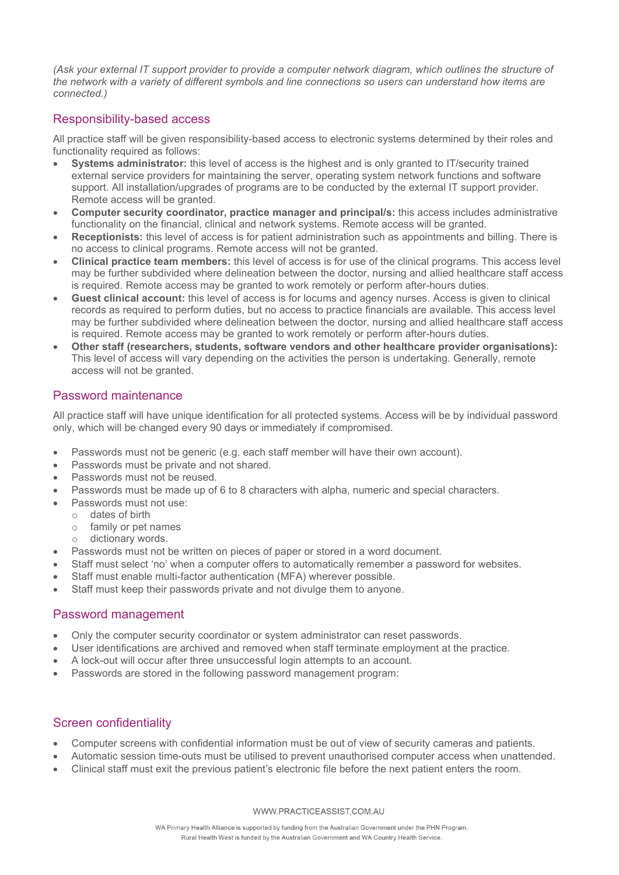*(Ask your external IT support provider to provide a computer network diagram, which outlines the structure of the network with a variety of different symbols and line connections so users can understand how items are connected.)* 

#### Responsibility-based access

All practice staff will be given responsibility-based access to electronic systems determined by their roles and functionality required as follows:

- **Systems administrator:** this level of access is the highest and is only granted to IT/security trained external service providers for maintaining the server, operating system network functions and software support. All installation/upgrades of programs are to be conducted by the external IT support provider. Remote access will be granted.
- **Computer security coordinator, practice manager and principal/s:** this access includes administrative functionality on the financial, clinical and network systems. Remote access will be granted.
- **Receptionists:** this level of access is for patient administration such as appointments and billing. There is no access to clinical programs. Remote access will not be granted.
- **Clinical practice team members:** this level of access is for use of the clinical programs. This access level may be further subdivided where delineation between the doctor, nursing and allied healthcare staff access is required. Remote access may be granted to work remotely or perform after-hours duties.
- **Guest clinical account:** this level of access is for locums and agency nurses. Access is given to clinical records as required to perform duties, but no access to practice financials are available. This access level may be further subdivided where delineation between the doctor, nursing and allied healthcare staff access is required. Remote access may be granted to work remotely or perform after-hours duties.
- **Other staff (researchers, students, software vendors and other healthcare provider organisations):** This level of access will vary depending on the activities the person is undertaking. Generally, remote access will not be granted.

# Password maintenance

All practice staff will have unique identification for all protected systems. Access will be by individual password only, which will be changed every 90 days or immediately if compromised.

- Passwords must not be generic (e.g. each staff member will have their own account).
- Passwords must be private and not shared.
- Passwords must not be reused.
- Passwords must be made up of 6 to 8 characters with alpha, numeric and special characters.
- Passwords must not use:
	- o dates of birth
	- $\circ$  family or pet names
	- dictionary words.
- Passwords must not be written on pieces of paper or stored in a word document.
- Staff must select 'no' when a computer offers to automatically remember a password for websites.
- Staff must enable multi-factor authentication (MFA) wherever possible.
- Staff must keep their passwords private and not divulge them to anyone.

# Password management

- Only the computer security coordinator or system administrator can reset passwords.
- User identifications are archived and removed when staff terminate employment at the practice.
- A lock-out will occur after three unsuccessful login attempts to an account.
- Passwords are stored in the following password management program:

# Screen confidentiality

- Computer screens with confidential information must be out of view of security cameras and patients.
- Automatic session time-outs must be utilised to prevent unauthorised computer access when unattended.
- Clinical staff must exit the previous patient's electronic file before the next patient enters the room.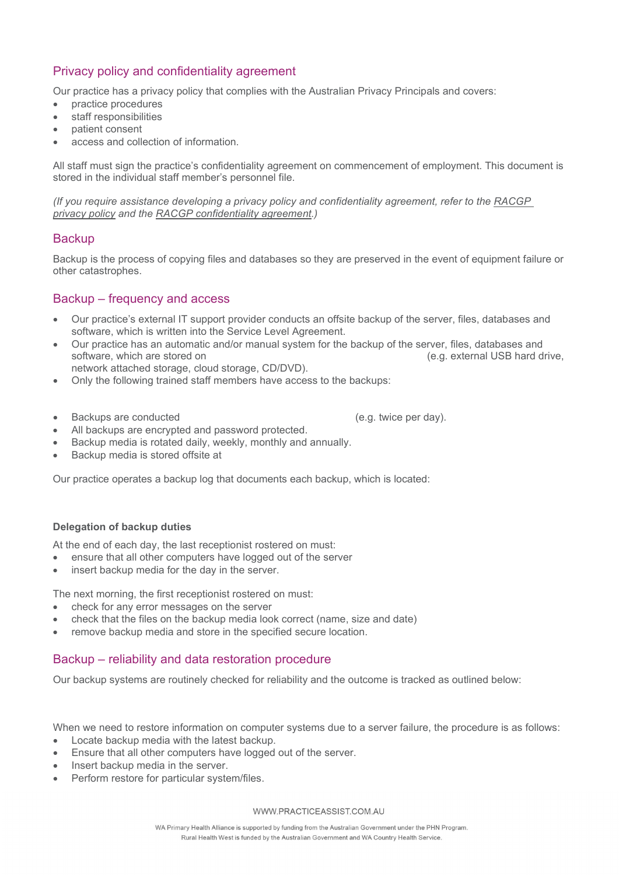# Privacy policy and confidentiality agreement

Our practice has a privacy policy that complies with the Australian Privacy Principals and covers:

- practice procedures
- staff responsibilities
- patient consent
- access and collection of information.

All staff must sign the practice's confidentiality agreement on commencement of employment. This document is stored in the individual staff member's personnel file.

*(If you require assistance developing a privacy policy and confidentiality agreement, refer to the [RACGP](https://www.racgp.org.au/download/Documents/e-health/practicepolicyform.pdf)  [privacy policy](https://www.racgp.org.au/download/Documents/e-health/practicepolicyform.pdf) and the [RACGP confidentiality agreement.](https://www.racgp.org.au/getattachment/90854073-eec5-4251-ae91-14a6afe27807/Confidentiality-agreement-template.docx.aspx))*

#### **Backup**

Backup is the process of copying files and databases so they are preserved in the event of equipment failure or other catastrophes.

### Backup – frequency and access

- Our practice's external IT support provider conducts an offsite backup of the server, files, databases and software, which is written into the Service Level Agreement.
- Our practice has an automatic and/or manual system for the backup of the server, files, databases and (e.g. external USB hard drive,
- network attached storage, cloud storage, CD/DVD).
- Only the following trained staff members have access to the backups:
- Backups are conducted (e.g. twice per day).

- All backups are encrypted and password protected.
- Backup media is rotated daily, weekly, monthly and annually.
- Backup media is stored offsite at

Our practice operates a backup log that documents each backup, which is located:

#### **Delegation of backup duties**

At the end of each day, the last receptionist rostered on must:

- ensure that all other computers have logged out of the server
- insert backup media for the day in the server.

The next morning, the first receptionist rostered on must:

- check for any error messages on the server
- check that the files on the backup media look correct (name, size and date)
- remove backup media and store in the specified secure location.

#### Backup – reliability and data restoration procedure

Our backup systems are routinely checked for reliability and the outcome is tracked as outlined below:

When we need to restore information on computer systems due to a server failure, the procedure is as follows:

- Locate backup media with the latest backup.
- Ensure that all other computers have logged out of the server.
- Insert backup media in the server.
- Perform restore for particular system/files.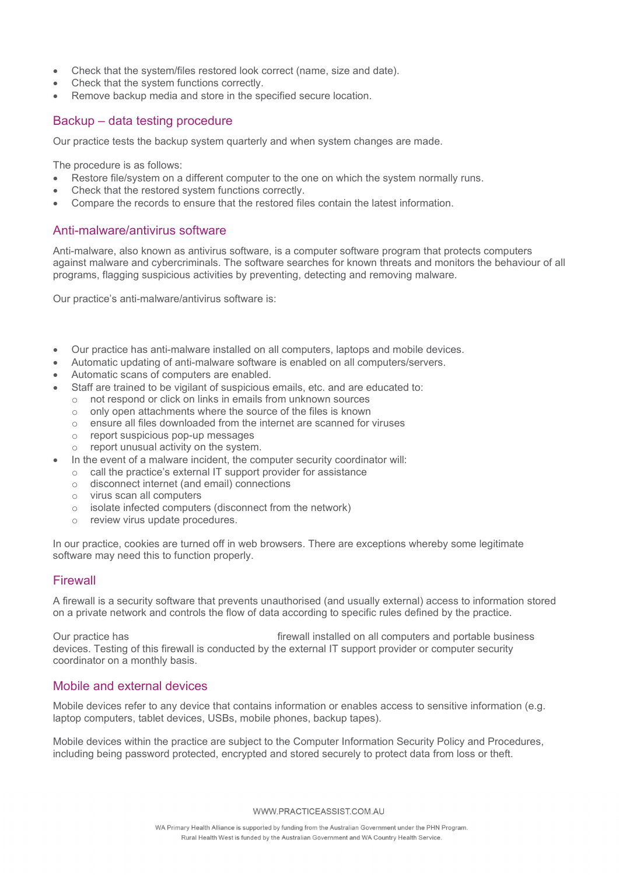- Check that the system/files restored look correct (name, size and date).
- Check that the system functions correctly.
- Remove backup media and store in the specified secure location.

## Backup – data testing procedure

Our practice tests the backup system quarterly and when system changes are made.

The procedure is as follows:

- Restore file/system on a different computer to the one on which the system normally runs.
- Check that the restored system functions correctly.
- Compare the records to ensure that the restored files contain the latest information.

### Anti-malware/antivirus software

Anti-malware, also known as antivirus software, is a computer software program that protects computers against malware and cybercriminals. The software searches for known threats and monitors the behaviour of all programs, flagging suspicious activities by preventing, detecting and removing malware.

Our practice's anti-malware/antivirus software is:

- Our practice has anti-malware installed on all computers, laptops and mobile devices.
- Automatic updating of anti-malware software is enabled on all computers/servers.
- Automatic scans of computers are enabled.
- Staff are trained to be vigilant of suspicious emails, etc. and are educated to:
	- o not respond or click on links in emails from unknown sources
	- o only open attachments where the source of the files is known
	- o ensure all files downloaded from the internet are scanned for viruses
	- o report suspicious pop-up messages
	- o report unusual activity on the system.
- In the event of a malware incident, the computer security coordinator will:
	- o call the practice's external IT support provider for assistance
	- o disconnect internet (and email) connections
	- o virus scan all computers
	- o isolate infected computers (disconnect from the network)
	- o review virus update procedures.

In our practice, cookies are turned off in web browsers. There are exceptions whereby some legitimate software may need this to function properly.

#### Firewall

A firewall is a security software that prevents unauthorised (and usually external) access to information stored on a private network and controls the flow of data according to specific rules defined by the practice.

Our practice has firewall installed on all computers and portable business devices. Testing of this firewall is conducted by the external IT support provider or computer security coordinator on a monthly basis.

#### Mobile and external devices

Mobile devices refer to any device that contains information or enables access to sensitive information (e.g. laptop computers, tablet devices, USBs, mobile phones, backup tapes).

Mobile devices within the practice are subject to the Computer Information Security Policy and Procedures, including being password protected, encrypted and stored securely to protect data from loss or theft.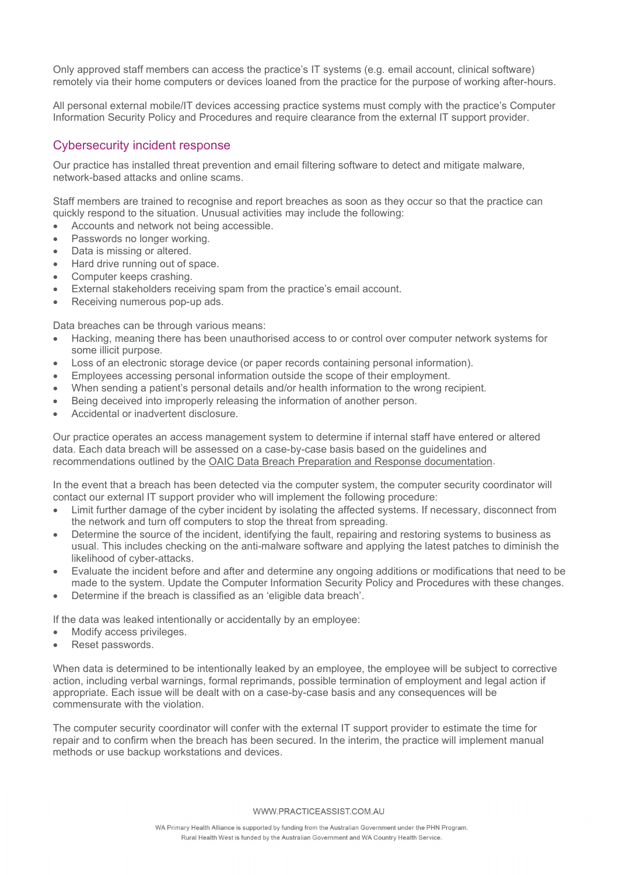Only approved staff members can access the practice's IT systems (e.g. email account, clinical software) remotely via their home computers or devices loaned from the practice for the purpose of working after-hours.

All personal external mobile/IT devices accessing practice systems must comply with the practice's Computer Information Security Policy and Procedures and require clearance from the external IT support provider.

### Cybersecurity incident response

Our practice has installed threat prevention and email filtering software to detect and mitigate malware, network-based attacks and online scams.

Staff members are trained to recognise and report breaches as soon as they occur so that the practice can quickly respond to the situation. Unusual activities may include the following:

- Accounts and network not being accessible.
- Passwords no longer working.
- Data is missing or altered.
- Hard drive running out of space.
- Computer keeps crashing.
- External stakeholders receiving spam from the practice's email account.
- Receiving numerous pop-up ads.

Data breaches can be through various means:

- Hacking, meaning there has been unauthorised access to or control over computer network systems for some illicit purpose.
- Loss of an electronic storage device (or paper records containing personal information).
- Employees accessing personal information outside the scope of their employment.
- When sending a patient's personal details and/or health information to the wrong recipient.
- Being deceived into improperly releasing the information of another person.
- Accidental or inadvertent disclosure.

Our practice operates an access management system to determine if internal staff have entered or altered data. Each data breach will be assessed on a case-by-case basis based on the guidelines and recommendations outlined by the [OAIC Data Breach Preparation and Response documentation.](https://www.oaic.gov.au/assets/privacy/guidance-and-advice/data-breach-preparation-and-response.pdf)

In the event that a breach has been detected via the computer system, the computer security coordinator will contact our external IT support provider who will implement the following procedure:

- Limit further damage of the cyber incident by isolating the affected systems. If necessary, disconnect from the network and turn off computers to stop the threat from spreading.
- Determine the source of the incident, identifying the fault, repairing and restoring systems to business as usual. This includes checking on the anti-malware software and applying the latest patches to diminish the likelihood of cyber-attacks.
- Evaluate the incident before and after and determine any ongoing additions or modifications that need to be made to the system. Update the Computer Information Security Policy and Procedures with these changes.
- Determine if the breach is classified as an 'eligible data breach'.

If the data was leaked intentionally or accidentally by an employee:

- Modify access privileges.
- Reset passwords.

When data is determined to be intentionally leaked by an employee, the employee will be subject to corrective action, including verbal warnings, formal reprimands, possible termination of employment and legal action if appropriate. Each issue will be dealt with on a case-by-case basis and any consequences will be commensurate with the violation.

The computer security coordinator will confer with the external IT support provider to estimate the time for repair and to confirm when the breach has been secured. In the interim, the practice will implement manual methods or use backup workstations and devices.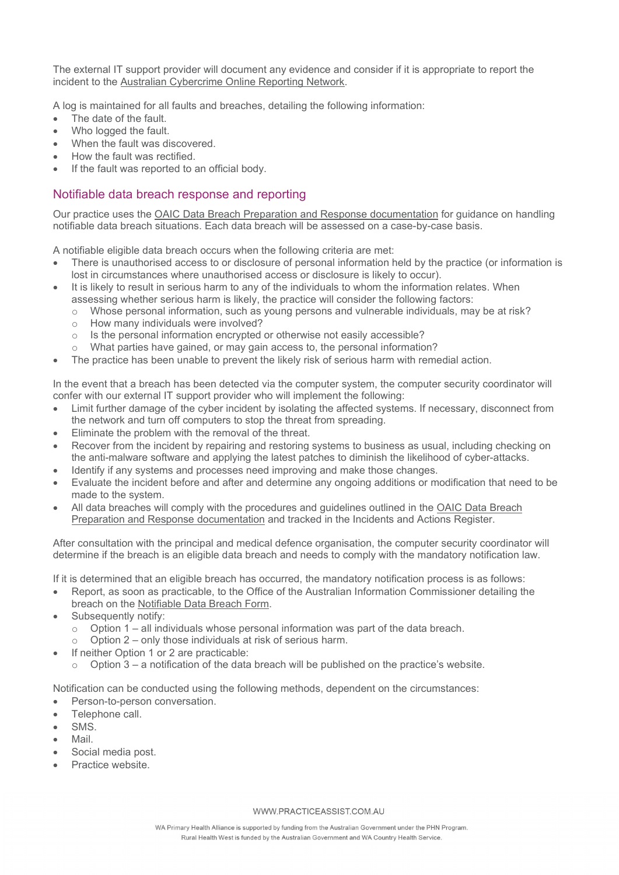The external IT support provider will document any evidence and consider if it is appropriate to report the incident to the [Australian Cybercrime Online Reporting Network.](https://www.cyber.gov.au/report)

A log is maintained for all faults and breaches, detailing the following information:

- The date of the fault.
- Who logged the fault.
- When the fault was discovered.
- How the fault was rectified.
- If the fault was reported to an official body.

# Notifiable data breach response and reporting

Our practice uses the [OAIC Data Breach Preparation and Response documentation](https://www.oaic.gov.au/assets/privacy/guidance-and-advice/data-breach-preparation-and-response.pdf) for guidance on handling notifiable data breach situations. Each data breach will be assessed on a case-by-case basis.

A notifiable eligible data breach occurs when the following criteria are met:

- There is unauthorised access to or disclosure of personal information held by the practice (or information is lost in circumstances where unauthorised access or disclosure is likely to occur).
- It is likely to result in serious harm to any of the individuals to whom the information relates. When assessing whether serious harm is likely, the practice will consider the following factors:
	- o Whose personal information, such as young persons and vulnerable individuals, may be at risk?
	- o How many individuals were involved?
	- o Is the personal information encrypted or otherwise not easily accessible?
	- o What parties have gained, or may gain access to, the personal information?
- The practice has been unable to prevent the likely risk of serious harm with remedial action.

In the event that a breach has been detected via the computer system, the computer security coordinator will confer with our external IT support provider who will implement the following:

- Limit further damage of the cyber incident by isolating the affected systems. If necessary, disconnect from the network and turn off computers to stop the threat from spreading.
- Eliminate the problem with the removal of the threat.
- Recover from the incident by repairing and restoring systems to business as usual, including checking on the anti-malware software and applying the latest patches to diminish the likelihood of cyber-attacks.
- Identify if any systems and processes need improving and make those changes.
- Evaluate the incident before and after and determine any ongoing additions or modification that need to be made to the system.
- All data breaches will comply with the procedures and guidelines outlined in the [OAIC Data Breach](https://www.oaic.gov.au/assets/privacy/guidance-and-advice/data-breach-preparation-and-response.pdf) [Preparation and Response](https://www.oaic.gov.au/assets/privacy/guidance-and-advice/data-breach-preparation-and-response.pdf) documentation and tracked in the Incidents and Actions Register.

After consultation with the principal and medical defence organisation, the computer security coordinator will determine if the breach is an eligible data breach and needs to comply with the mandatory notification law.

If it is determined that an eligible breach has occurred, the mandatory notification process is as follows:

- Report, as soon as practicable, to the Office of the Australian Information Commissioner detailing the breach on the [Notifiable Data Breach Form.](https://forms.business.gov.au/smartforms/servlet/SmartForm.html?formCode=OAIC-NDB&tmFormVersion=10.0)
- Subsequently notify:
	- $\circ$  Option 1 all individuals whose personal information was part of the data breach.<br>  $\circ$  Option 2 only those individuals at risk of serious harm
	- Option 2 only those individuals at risk of serious harm.
- If neither Option 1 or 2 are practicable:
	- $\circ$  Option 3 a notification of the data breach will be published on the practice's website.

Notification can be conducted using the following methods, dependent on the circumstances:

- Person-to-person conversation.
- Telephone call.
- SMS.
- Mail.
- Social media post.
- Practice website.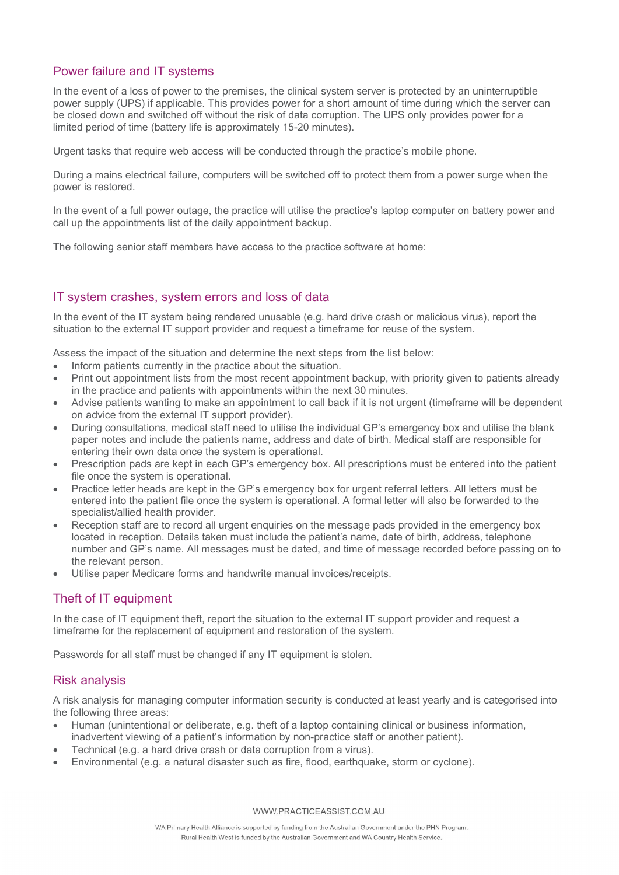# Power failure and IT systems

In the event of a loss of power to the premises, the clinical system server is protected by an uninterruptible power supply (UPS) if applicable. This provides power for a short amount of time during which the server can be closed down and switched off without the risk of data corruption. The UPS only provides power for a limited period of time (battery life is approximately 15-20 minutes).

Urgent tasks that require web access will be conducted through the practice's mobile phone.

During a mains electrical failure, computers will be switched off to protect them from a power surge when the power is restored.

In the event of a full power outage, the practice will utilise the practice's laptop computer on battery power and call up the appointments list of the daily appointment backup.

The following senior staff members have access to the practice software at home:

# IT system crashes, system errors and loss of data

In the event of the IT system being rendered unusable (e.g. hard drive crash or malicious virus), report the situation to the external IT support provider and request a timeframe for reuse of the system.

Assess the impact of the situation and determine the next steps from the list below:

- Inform patients currently in the practice about the situation.
- Print out appointment lists from the most recent appointment backup, with priority given to patients already in the practice and patients with appointments within the next 30 minutes.
- Advise patients wanting to make an appointment to call back if it is not urgent (timeframe will be dependent on advice from the external IT support provider).
- During consultations, medical staff need to utilise the individual GP's emergency box and utilise the blank paper notes and include the patients name, address and date of birth. Medical staff are responsible for entering their own data once the system is operational.
- Prescription pads are kept in each GP's emergency box. All prescriptions must be entered into the patient file once the system is operational.
- Practice letter heads are kept in the GP's emergency box for urgent referral letters. All letters must be entered into the patient file once the system is operational. A formal letter will also be forwarded to the specialist/allied health provider.
- Reception staff are to record all urgent enquiries on the message pads provided in the emergency box located in reception. Details taken must include the patient's name, date of birth, address, telephone number and GP's name. All messages must be dated, and time of message recorded before passing on to the relevant person.
- Utilise paper Medicare forms and handwrite manual invoices/receipts.

# Theft of IT equipment

In the case of IT equipment theft, report the situation to the external IT support provider and request a timeframe for the replacement of equipment and restoration of the system.

Passwords for all staff must be changed if any IT equipment is stolen.

#### Risk analysis

A risk analysis for managing computer information security is conducted at least yearly and is categorised into the following three areas:

- Human (unintentional or deliberate, e.g. theft of a laptop containing clinical or business information, inadvertent viewing of a patient's information by non-practice staff or another patient).
- Technical (e.g. a hard drive crash or data corruption from a virus).
- Environmental (e.g. a natural disaster such as fire, flood, earthquake, storm or cyclone).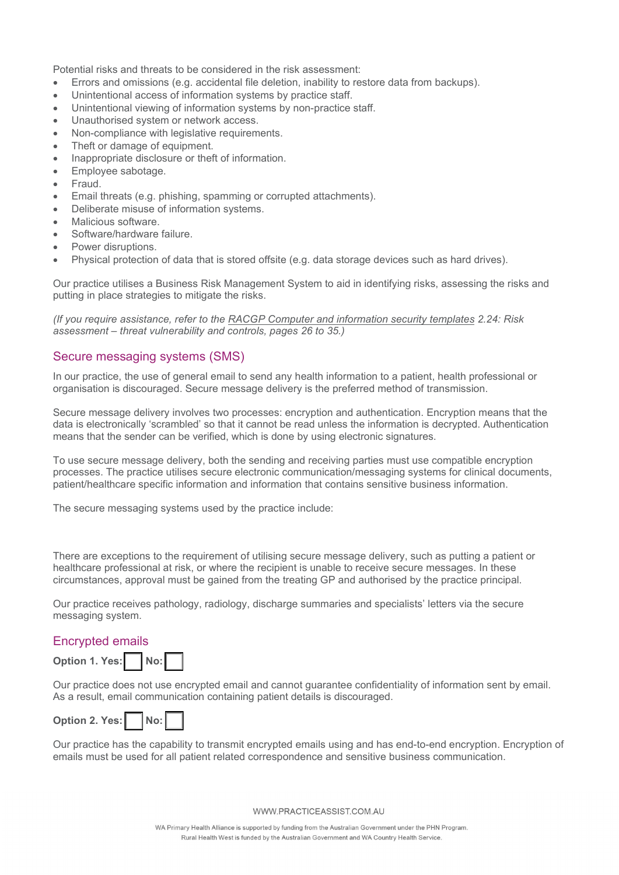Potential risks and threats to be considered in the risk assessment:

- Errors and omissions (e.g. accidental file deletion, inability to restore data from backups).
- Unintentional access of information systems by practice staff.
- Unintentional viewing of information systems by non-practice staff.
- Unauthorised system or network access.
- Non-compliance with legislative requirements.
- Theft or damage of equipment.
- Inappropriate disclosure or theft of information.
- Employee sabotage.
- Fraud.
- Email threats (e.g. phishing, spamming or corrupted attachments).
- Deliberate misuse of information systems.
- Malicious software.
- Software/hardware failure.
- Power disruptions.
- Physical protection of data that is stored offsite (e.g. data storage devices such as hard drives).

Our practice utilises a Business Risk Management System to aid in identifying risks, assessing the risks and putting in place strategies to mitigate the risks.

*(If you require assistance, refer to the RACGP Computer [and information security](https://www.racgp.org.au/FSDEDEV/media/documents/Running%20a%20practice/Practice%20standards/Computer-and-information-security-templates.pdf) templates 2.24: Risk assessment – threat vulnerability and controls, pages 26 to 35.)*

#### Secure messaging systems (SMS)

In our practice, the use of general email to send any health information to a patient, health professional or organisation is discouraged. Secure message delivery is the preferred method of transmission.

Secure message delivery involves two processes: encryption and authentication. Encryption means that the data is electronically 'scrambled' so that it cannot be read unless the information is decrypted. Authentication means that the sender can be verified, which is done by using electronic signatures.

To use secure message delivery, both the sending and receiving parties must use compatible encryption processes. The practice utilises secure electronic communication/messaging systems for clinical documents, patient/healthcare specific information and information that contains sensitive business information.

The secure messaging systems used by the practice include:

There are exceptions to the requirement of utilising secure message delivery, such as putting a patient or healthcare professional at risk, or where the recipient is unable to receive secure messages. In these circumstances, approval must be gained from the treating GP and authorised by the practice principal.

Our practice receives pathology, radiology, discharge summaries and specialists' letters via the secure messaging system.

#### Encrypted emails



Our practice does not use encrypted email and cannot guarantee confidentiality of information sent by email. As a result, email communication containing patient details is discouraged.



Our practice has the capability to transmit encrypted emails using and has end-to-end encryption. Encryption of emails must be used for all patient related correspondence and sensitive business communication.